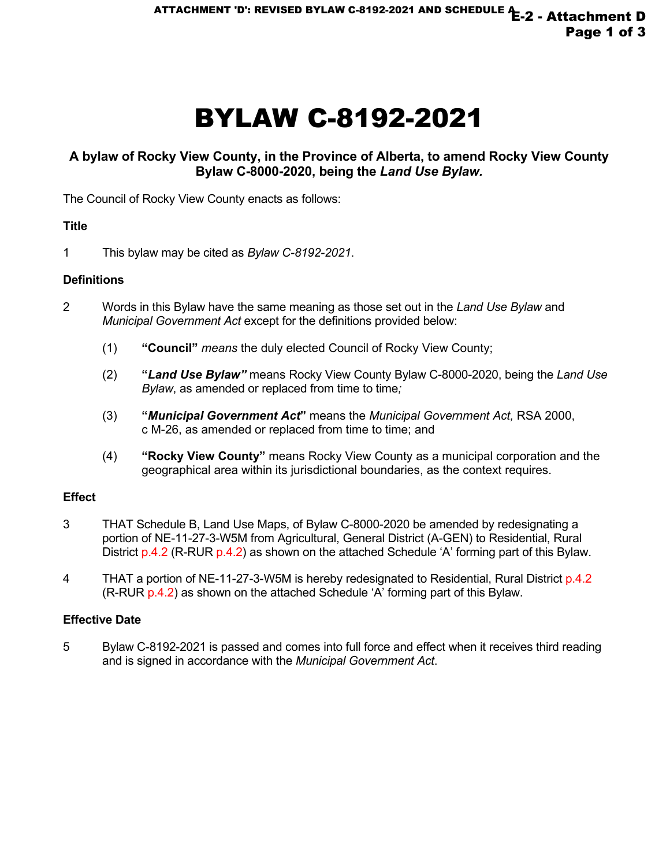# BYLAW C-8192-2021

### **A bylaw of Rocky View County, in the Province of Alberta, to amend Rocky View County Bylaw C-8000-2020, being the** *Land Use Bylaw.*

The Council of Rocky View County enacts as follows:

#### **Title**

1 This bylaw may be cited as *Bylaw C-8192-2021*.

#### **Definitions**

- 2 Words in this Bylaw have the same meaning as those set out in the *Land Use Bylaw* and *Municipal Government Act* except for the definitions provided below:
	- (1) **"Council"** *means* the duly elected Council of Rocky View County;
	- (2) **"***Land Use Bylaw"* means Rocky View County Bylaw C-8000-2020, being the *Land Use Bylaw*, as amended or replaced from time to time;
	- (3) **"***Municipal Government Act***"** means the *Municipal Government Act,* RSA 2000, c M-26, as amended or replaced from time to time; and
	- (4) **"Rocky View County"** means Rocky View County as a municipal corporation and the geographical area within its jurisdictional boundaries, as the context requires.

#### **Effect**

- 3 THAT Schedule B, Land Use Maps, of Bylaw C-8000-2020 be amended by redesignating a portion of NE-11-27-3-W5M from Agricultural, General District (A-GEN) to Residential, Rural District p.4.2 (R-RUR p.4.2) as shown on the attached Schedule 'A' forming part of this Bylaw.
- 4 THAT a portion of NE-11-27-3-W5M is hereby redesignated to Residential, Rural District p.4.2 (R-RUR p.4.2) as shown on the attached Schedule 'A' forming part of this Bylaw.

#### **Effective Date**

5 Bylaw C-8192-2021 is passed and comes into full force and effect when it receives third reading and is signed in accordance with the *Municipal Government Act*.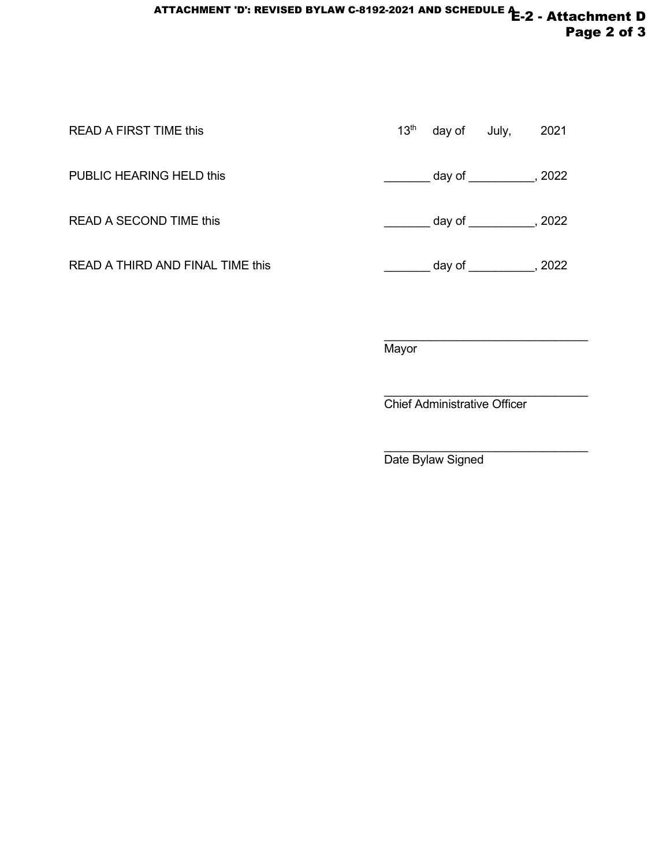## ATTACHMENT 'D': REVISED BYLAW C-8192-2021 AND SCHEDULE **1**-2 - Attachment D Page 2 of 3

| <b>READ A FIRST TIME this</b>    | 13 <sup>th</sup> | day of July, |                   | 2021 |
|----------------------------------|------------------|--------------|-------------------|------|
| PUBLIC HEARING HELD this         |                  |              | $day of$ , $2022$ |      |
| <b>READ A SECOND TIME this</b>   |                  |              | $day of$ , $2022$ |      |
| READ A THIRD AND FINAL TIME this |                  |              | $day of$ , $2022$ |      |
|                                  |                  |              |                   |      |

 $\overline{\phantom{a}}$  , and the set of the set of the set of the set of the set of the set of the set of the set of the set of the set of the set of the set of the set of the set of the set of the set of the set of the set of the s **Mayor** 

 $\overline{\phantom{a}}$  , and the set of the set of the set of the set of the set of the set of the set of the set of the set of the set of the set of the set of the set of the set of the set of the set of the set of the set of the s Chief Administrative Officer

\_\_\_\_\_\_\_\_\_\_\_\_\_\_\_\_\_\_\_\_\_\_\_\_\_\_\_\_\_\_\_

Date Bylaw Signed